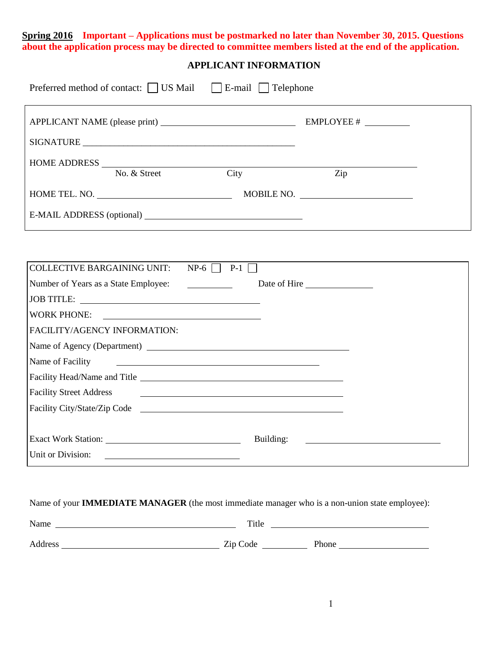## **APPLICANT INFORMATION**

| No. & Street                                                           | $\overline{C}$ ity                                                                                                    | Zip                                                                                                             |  |
|------------------------------------------------------------------------|-----------------------------------------------------------------------------------------------------------------------|-----------------------------------------------------------------------------------------------------------------|--|
|                                                                        |                                                                                                                       |                                                                                                                 |  |
|                                                                        |                                                                                                                       |                                                                                                                 |  |
|                                                                        |                                                                                                                       |                                                                                                                 |  |
|                                                                        |                                                                                                                       |                                                                                                                 |  |
| COLLECTIVE BARGAINING UNIT: $NP-6 \n\begin{bmatrix} P-1 \end{bmatrix}$ |                                                                                                                       |                                                                                                                 |  |
| Number of Years as a State Employee:                                   | <u> 1990 - Jan Albert III, politik politik (</u>                                                                      | Date of Hire                                                                                                    |  |
|                                                                        |                                                                                                                       |                                                                                                                 |  |
|                                                                        |                                                                                                                       |                                                                                                                 |  |
| FACILITY/AGENCY INFORMATION:                                           |                                                                                                                       |                                                                                                                 |  |
|                                                                        |                                                                                                                       |                                                                                                                 |  |
| Name of Facility                                                       | <u> 1980 - Johann Barbara, martin amerikan basar dan berasal dan berasal dalam basar dalam basar dalam basar dala</u> |                                                                                                                 |  |
|                                                                        |                                                                                                                       |                                                                                                                 |  |
|                                                                        |                                                                                                                       |                                                                                                                 |  |
| <b>Facility Street Address</b>                                         |                                                                                                                       |                                                                                                                 |  |
| Facility City/State/Zip Code                                           | <u> 1989 - Andrea Station, Amerikaansk politiker (</u>                                                                |                                                                                                                 |  |
|                                                                        |                                                                                                                       |                                                                                                                 |  |
|                                                                        |                                                                                                                       | Building: 2008 and 2010 and 2010 and 2010 and 2010 and 2010 and 2010 and 2010 and 2010 and 2010 and 2010 and 20 |  |

Name Title Address Zip Code Phone

1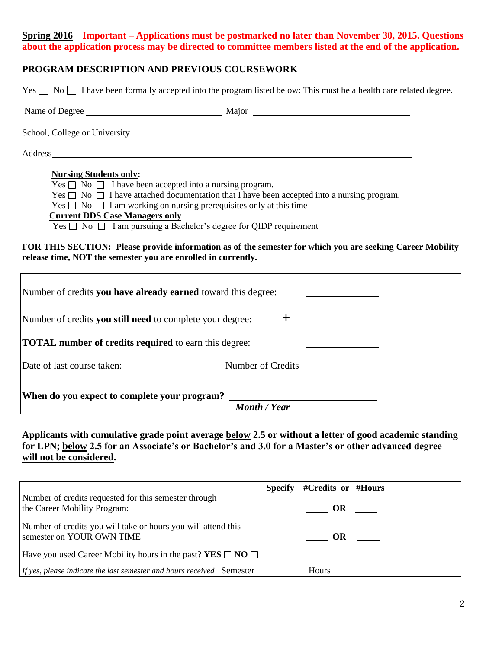# **PROGRAM DESCRIPTION AND PREVIOUS COURSEWORK**

|                                                                                                                                                                                                                                                                                                                                                                                                                                                                                     | $Yes \fbox{No} \fbox{No} \fbox{No} \fbox{No}$ I have been formally accepted into the program listed below: This must be a health care related degree.                                                         |
|-------------------------------------------------------------------------------------------------------------------------------------------------------------------------------------------------------------------------------------------------------------------------------------------------------------------------------------------------------------------------------------------------------------------------------------------------------------------------------------|---------------------------------------------------------------------------------------------------------------------------------------------------------------------------------------------------------------|
|                                                                                                                                                                                                                                                                                                                                                                                                                                                                                     |                                                                                                                                                                                                               |
| School, College or University 2008. The College of University                                                                                                                                                                                                                                                                                                                                                                                                                       |                                                                                                                                                                                                               |
|                                                                                                                                                                                                                                                                                                                                                                                                                                                                                     |                                                                                                                                                                                                               |
| <b>Nursing Students only:</b><br>Yes $\Box$ No $\Box$ I have been accepted into a nursing program.<br>Yes $\Box$ No $\Box$ I have attached documentation that I have been accepted into a nursing program.<br>Yes $\Box$ No $\Box$ I am working on nursing prerequisites only at this time<br><b>Current DDS Case Managers only</b><br>Yes $\Box$ No $\Box$ I am pursuing a Bachelor's degree for QIDP requirement<br>release time, NOT the semester you are enrolled in currently. | FOR THIS SECTION: Please provide information as of the semester for which you are seeking Career Mobility                                                                                                     |
| Number of credits you have already earned toward this degree:                                                                                                                                                                                                                                                                                                                                                                                                                       |                                                                                                                                                                                                               |
| Number of credits you still need to complete your degree:                                                                                                                                                                                                                                                                                                                                                                                                                           | +   ____________                                                                                                                                                                                              |
| <b>TOTAL</b> number of credits required to earn this degree:                                                                                                                                                                                                                                                                                                                                                                                                                        |                                                                                                                                                                                                               |
|                                                                                                                                                                                                                                                                                                                                                                                                                                                                                     |                                                                                                                                                                                                               |
| When do you expect to complete your program? ___________________________________                                                                                                                                                                                                                                                                                                                                                                                                    | <b>Month / Year</b>                                                                                                                                                                                           |
| will not be considered.                                                                                                                                                                                                                                                                                                                                                                                                                                                             | Applicants with cumulative grade point average below 2.5 or without a letter of good academic standing<br>for LPN; below 2.5 for an Associate's or Bachelor's and 3.0 for a Master's or other advanced degree |
| Number of credits requested for this semester through<br>the Career Mobility Program:                                                                                                                                                                                                                                                                                                                                                                                               | #Credits or #Hours<br><b>Specify</b><br>OR                                                                                                                                                                    |
| Number of credits you will take or hours you will attend this<br>semester on YOUR OWN TIME                                                                                                                                                                                                                                                                                                                                                                                          | <b>OR</b>                                                                                                                                                                                                     |
| Have you used Career Mobility hours in the past? YES $\square$ NO $\square$                                                                                                                                                                                                                                                                                                                                                                                                         |                                                                                                                                                                                                               |
| If yes, please indicate the last semester and hours received Semester                                                                                                                                                                                                                                                                                                                                                                                                               | Hours                                                                                                                                                                                                         |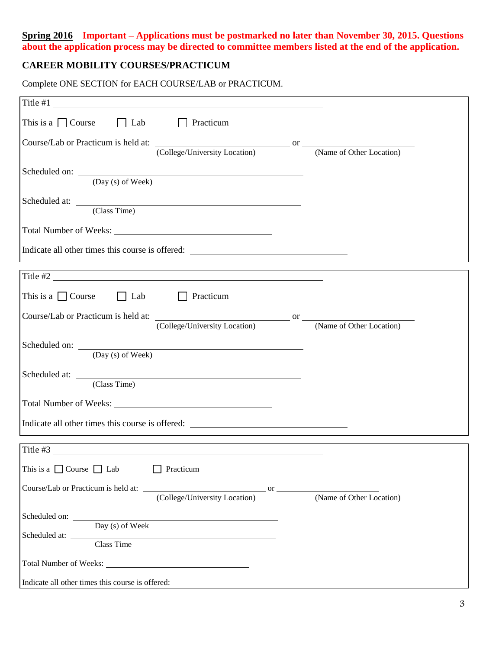# **CAREER MOBILITY COURSES/PRACTICUM**

Complete ONE SECTION for EACH COURSE/LAB or PRACTICUM.

| Title $\#1$                                                                                                                                                                                                                                                                                                                                                                                                                                                                                     |                          |
|-------------------------------------------------------------------------------------------------------------------------------------------------------------------------------------------------------------------------------------------------------------------------------------------------------------------------------------------------------------------------------------------------------------------------------------------------------------------------------------------------|--------------------------|
| This is a $\Box$ Course $\Box$ Lab $\Box$ Practicum                                                                                                                                                                                                                                                                                                                                                                                                                                             |                          |
| Course/Lab or Practicum is held at: (College/University Location) or (Name of Other Location)                                                                                                                                                                                                                                                                                                                                                                                                   | (Name of Other Location) |
| Scheduled on: $\frac{1}{\frac{(\text{Day (s) of Week})}{\frac{(\text{Day (s) of Week})}{\frac{(\text{Day (s) of Week})}{\frac{(\text{Day (s) of Week})}{\frac{(\text{Day (s) of Week})}{\frac{(\text{Day (s) of Week})}{\frac{(\text{Day (s) of Week})}{\frac{(\text{Day (s) of Week})}{\frac{(\text{Day (s) of Web})}{\frac{(\text{Day (s) of Web})}{\frac{(\text{Day (s) of Web})}{\frac{(\text{Day (s) of Web})}{\frac{(\text{Day (s) of Web})}{\frac{(\text{Day (s) of Web})}{\frac{(\text$ |                          |
| Scheduled at:<br>(Class Time)                                                                                                                                                                                                                                                                                                                                                                                                                                                                   |                          |
|                                                                                                                                                                                                                                                                                                                                                                                                                                                                                                 |                          |
| Indicate all other times this course is offered: ________________________________                                                                                                                                                                                                                                                                                                                                                                                                               |                          |
| and the control of the control of the control of the control of the control of the control of the control of the                                                                                                                                                                                                                                                                                                                                                                                |                          |
| This is a $\Box$ Course $\Box$ Lab $\Box$ Practicum                                                                                                                                                                                                                                                                                                                                                                                                                                             |                          |
| Course/Lab or Practicum is held at: (College/University Location) or (Name of Other Location)                                                                                                                                                                                                                                                                                                                                                                                                   |                          |
| (Day (s) of Week)                                                                                                                                                                                                                                                                                                                                                                                                                                                                               |                          |
| (Class Time)                                                                                                                                                                                                                                                                                                                                                                                                                                                                                    |                          |
|                                                                                                                                                                                                                                                                                                                                                                                                                                                                                                 |                          |
| Indicate all other times this course is offered: _______________________________                                                                                                                                                                                                                                                                                                                                                                                                                |                          |
| Title $#3$                                                                                                                                                                                                                                                                                                                                                                                                                                                                                      |                          |
| This is a $\Box$ Course $\Box$ Lab<br>Practicum                                                                                                                                                                                                                                                                                                                                                                                                                                                 |                          |
| Course/Lab or Practicum is held at: (College/University Location) or (Name of Other Location)                                                                                                                                                                                                                                                                                                                                                                                                   |                          |
| Scheduled on: <u>Day</u> (s) of Week                                                                                                                                                                                                                                                                                                                                                                                                                                                            |                          |
| Scheduled at: <u>Class Time</u>                                                                                                                                                                                                                                                                                                                                                                                                                                                                 |                          |
| Total Number of Weeks:                                                                                                                                                                                                                                                                                                                                                                                                                                                                          |                          |
| Indicate all other times this course is offered: ________________________________                                                                                                                                                                                                                                                                                                                                                                                                               |                          |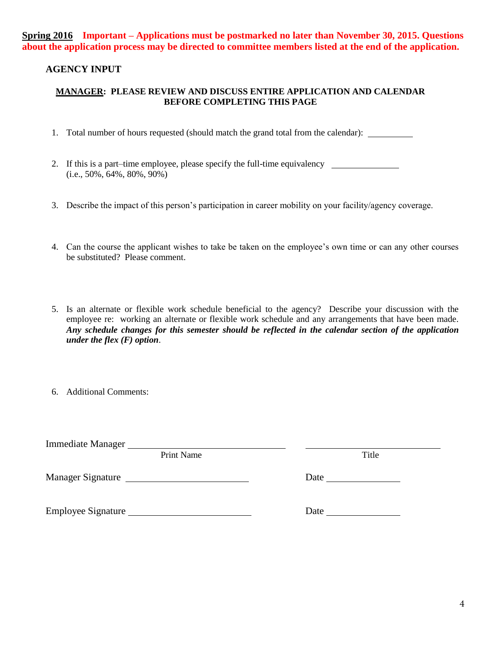### **AGENCY INPUT**

### **MANAGER: PLEASE REVIEW AND DISCUSS ENTIRE APPLICATION AND CALENDAR BEFORE COMPLETING THIS PAGE**

- 1. Total number of hours requested (should match the grand total from the calendar):
- 2. If this is a part–time employee, please specify the full-time equivalency \_\_\_\_\_\_\_\_\_\_ (i.e., 50%, 64%, 80%, 90%)
- 3. Describe the impact of this person's participation in career mobility on your facility/agency coverage.
- 4. Can the course the applicant wishes to take be taken on the employee's own time or can any other courses be substituted?Please comment.
- 5. Is an alternate or flexible work schedule beneficial to the agency? Describe your discussion with the employee re: working an alternate or flexible work schedule and any arrangements that have been made. *Any schedule changes for this semester should be reflected in the calendar section of the application under the flex (F) option*.
- 6. Additional Comments:

| <b>Immediate Manager</b> | <b>Print Name</b>                                                                                                      | Title       |  |
|--------------------------|------------------------------------------------------------------------------------------------------------------------|-------------|--|
| Manager Signature        | <u> Alexandria (Carlo Carlo Carlo Carlo Carlo Carlo Carlo Carlo Carlo Carlo Carlo Carlo Carlo Carlo Carlo Carlo Ca</u> |             |  |
| Employee Signature       |                                                                                                                        | Date $\_\_$ |  |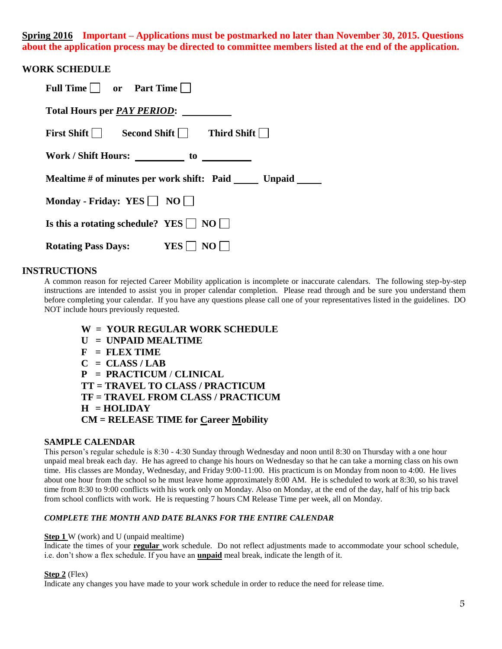### **WORK SCHEDULE**

| Full Time $\Box$ or Part Time $\Box$                             |
|------------------------------------------------------------------|
| Total Hours per <i>PAY PERIOD</i> :                              |
| First Shift Second Shift Third Shift                             |
| Work / Shift Hours: ____________ to ____________                 |
| Mealtime # of minutes per work shift: Paid _______ Unpaid ______ |
| Monday - Friday: YES $\Box$ NO                                   |
| Is this a rotating schedule? YES $\Box$ NO $\Box$                |
| <b>Rotating Pass Days:</b><br>YES <sup> </sup><br>NO             |

### **INSTRUCTIONS**

A common reason for rejected Career Mobility application is incomplete or inaccurate calendars. The following step-by-step instructions are intended to assist you in proper calendar completion. Please read through and be sure you understand them before completing your calendar. If you have any questions please call one of your representatives listed in the guidelines. DO NOT include hours previously requested.

- **W = YOUR REGULAR WORK SCHEDULE**
- **U = UNPAID MEALTIME**
- **F = FLEX TIME**
- $C = CLASS/LAB$

**P = PRACTICUM** / **CLINICAL**

- **TT = TRAVEL TO CLASS / PRACTICUM**
- **TF = TRAVEL FROM CLASS / PRACTICUM**
- $H = HOLIDAY$
- **CM = RELEASE TIME for Career Mobility**

#### **SAMPLE CALENDAR**

This person's regular schedule is 8:30 - 4:30 Sunday through Wednesday and noon until 8:30 on Thursday with a one hour unpaid meal break each day. He has agreed to change his hours on Wednesday so that he can take a morning class on his own time. His classes are Monday, Wednesday, and Friday 9:00-11:00. His practicum is on Monday from noon to 4:00. He lives about one hour from the school so he must leave home approximately 8:00 AM. He is scheduled to work at 8:30, so his travel time from 8:30 to 9:00 conflicts with his work only on Monday. Also on Monday, at the end of the day, half of his trip back from school conflicts with work. He is requesting 7 hours CM Release Time per week, all on Monday.

#### *COMPLETE THE MONTH AND DATE BLANKS FOR THE ENTIRE CALENDAR*

#### **Step 1** W (work) and U (unpaid mealtime)

Indicate the times of your **regular** work schedule. Do not reflect adjustments made to accommodate your school schedule, i.e. don't show a flex schedule. If you have an **unpaid** meal break, indicate the length of it.

#### **Step 2** (Flex)

Indicate any changes you have made to your work schedule in order to reduce the need for release time.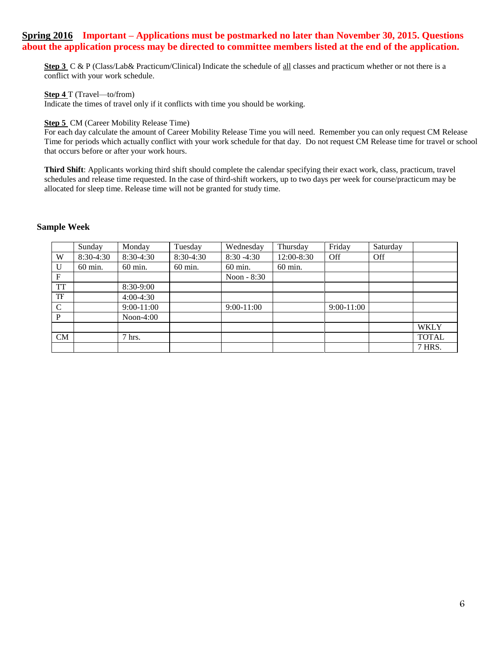**Step 3** C & P (Class/Lab& Practicum/Clinical) Indicate the schedule of all classes and practicum whether or not there is a conflict with your work schedule.

#### **Step 4** T (Travel—to/from)

Indicate the times of travel only if it conflicts with time you should be working.

#### **Step 5** CM (Career Mobility Release Time)

For each day calculate the amount of Career Mobility Release Time you will need. Remember you can only request CM Release Time for periods which actually conflict with your work schedule for that day. Do not request CM Release time for travel or school that occurs before or after your work hours.

**Third Shift**: Applicants working third shift should complete the calendar specifying their exact work, class, practicum, travel schedules and release time requested. In the case of third-shift workers, up to two days per week for course/practicum may be allocated for sleep time. Release time will not be granted for study time.

#### **Sample Week**

|              | Sunday             | Monday       | Tuesday     | Wednesday     | Thursday   | Friday       | Saturday   |              |
|--------------|--------------------|--------------|-------------|---------------|------------|--------------|------------|--------------|
| W            | $8:30-4:30$        | 8:30-4:30    | $8:30-4:30$ | $8:30 - 4:30$ | 12:00-8:30 | Off          | <b>Off</b> |              |
| U            | $60 \text{ min}$ . | $60$ min.    | 60 min.     | 60 min.       | 60 min.    |              |            |              |
| $\mathbf F$  |                    |              |             | Noon - 8:30   |            |              |            |              |
| TT           |                    | 8:30-9:00    |             |               |            |              |            |              |
| TF           |                    | $4:00-4:30$  |             |               |            |              |            |              |
| $\mathsf{C}$ |                    | $9:00-11:00$ |             | $9:00-11:00$  |            | $9:00-11:00$ |            |              |
| P            |                    | Noon-4:00    |             |               |            |              |            |              |
|              |                    |              |             |               |            |              |            | <b>WKLY</b>  |
| CM           |                    | $7$ hrs.     |             |               |            |              |            | <b>TOTAL</b> |
|              |                    |              |             |               |            |              |            | 7 HRS.       |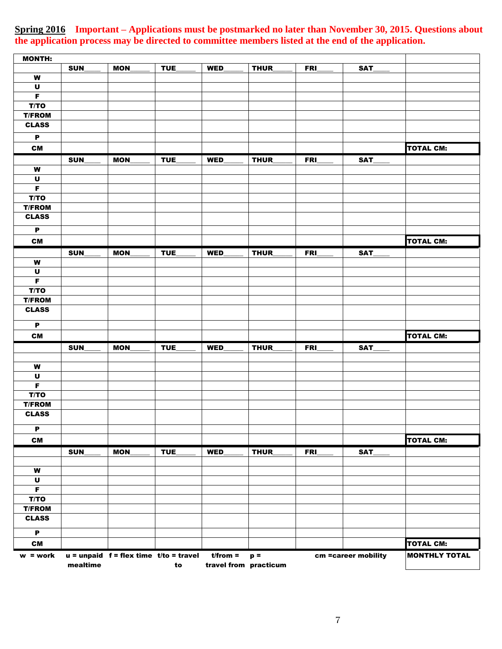| <b>MONTH:</b>      |          |                                          |      |                       |       |            |                     |                      |
|--------------------|----------|------------------------------------------|------|-----------------------|-------|------------|---------------------|----------------------|
|                    | SUN      | <b>MON</b>                               | TUE  | WED <sub>.</sub>      | THUR  | <b>FRI</b> | SAT                 |                      |
| W                  |          |                                          |      |                       |       |            |                     |                      |
| $\mathbf U$        |          |                                          |      |                       |       |            |                     |                      |
| F                  |          |                                          |      |                       |       |            |                     |                      |
| T/TO               |          |                                          |      |                       |       |            |                     |                      |
| <b>T/FROM</b>      |          |                                          |      |                       |       |            |                     |                      |
| <b>CLASS</b>       |          |                                          |      |                       |       |            |                     |                      |
| P                  |          |                                          |      |                       |       |            |                     |                      |
| <b>CM</b>          |          |                                          |      |                       |       |            |                     | <b>TOTAL CM:</b>     |
|                    | SUN      | MON                                      | TUE_ | WED <sub>_</sub>      | THUR_ | <b>FRI</b> | SAT                 |                      |
| W                  |          |                                          |      |                       |       |            |                     |                      |
| $\pmb{\pmb{\cup}}$ |          |                                          |      |                       |       |            |                     |                      |
| F                  |          |                                          |      |                       |       |            |                     |                      |
| T/TO               |          |                                          |      |                       |       |            |                     |                      |
| <b>T/FROM</b>      |          |                                          |      |                       |       |            |                     |                      |
| <b>CLASS</b>       |          |                                          |      |                       |       |            |                     |                      |
|                    |          |                                          |      |                       |       |            |                     |                      |
| P                  |          |                                          |      |                       |       |            |                     |                      |
| <b>CM</b>          |          |                                          |      |                       |       |            |                     | <b>TOTAL CM:</b>     |
|                    | SUN      | MON                                      | TUE  | WED <sub>.</sub>      | THUR  | FRI        | SAT                 |                      |
| W                  |          |                                          |      |                       |       |            |                     |                      |
| $\mathbf U$        |          |                                          |      |                       |       |            |                     |                      |
| F                  |          |                                          |      |                       |       |            |                     |                      |
| T/TO               |          |                                          |      |                       |       |            |                     |                      |
| <b>T/FROM</b>      |          |                                          |      |                       |       |            |                     |                      |
| <b>CLASS</b>       |          |                                          |      |                       |       |            |                     |                      |
| P                  |          |                                          |      |                       |       |            |                     |                      |
|                    |          |                                          |      |                       |       |            |                     |                      |
| <b>CM</b>          |          |                                          |      |                       |       |            |                     | <b>TOTAL CM:</b>     |
|                    | SUN      | <b>MON</b>                               | TUE  | WED <sub>.</sub>      | THUR_ | <b>FRI</b> | SAT                 |                      |
|                    |          |                                          |      |                       |       |            |                     |                      |
| W                  |          |                                          |      |                       |       |            |                     |                      |
| U                  |          |                                          |      |                       |       |            |                     |                      |
| F                  |          |                                          |      |                       |       |            |                     |                      |
| T/TO               |          |                                          |      |                       |       |            |                     |                      |
| <b>T/FROM</b>      |          |                                          |      |                       |       |            |                     |                      |
| <b>CLASS</b>       |          |                                          |      |                       |       |            |                     |                      |
| P                  |          |                                          |      |                       |       |            |                     |                      |
| <b>CM</b>          |          |                                          |      |                       |       |            |                     | <b>TOTAL CM:</b>     |
|                    | SUN      | MON                                      | TUE  | WED <sub>_</sub>      | THUR_ | FRI        | SAT                 |                      |
|                    |          |                                          |      |                       |       |            |                     |                      |
| $\pmb{\mathsf{W}}$ |          |                                          |      |                       |       |            |                     |                      |
| $\mathbf U$        |          |                                          |      |                       |       |            |                     |                      |
| F                  |          |                                          |      |                       |       |            |                     |                      |
| T/TO               |          |                                          |      |                       |       |            |                     |                      |
| <b>T/FROM</b>      |          |                                          |      |                       |       |            |                     |                      |
| <b>CLASS</b>       |          |                                          |      |                       |       |            |                     |                      |
|                    |          |                                          |      |                       |       |            |                     |                      |
| P                  |          |                                          |      |                       |       |            |                     |                      |
| <b>CM</b>          |          |                                          |      |                       |       |            |                     | <b>TOTAL CM:</b>     |
| $w = work$         |          | $u =$ unpaid f = flex time t/to = travel |      | $t$ /from =           | $p =$ |            | cm =career mobility | <b>MONTHLY TOTAL</b> |
|                    | mealtime |                                          | to   | travel from practicum |       |            |                     |                      |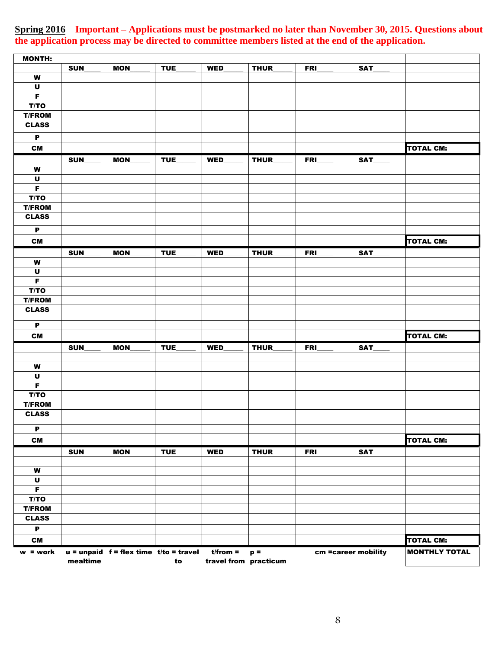| <b>MONTH:</b>      |            |            |                                          |                       |       |            |                     |                      |
|--------------------|------------|------------|------------------------------------------|-----------------------|-------|------------|---------------------|----------------------|
|                    | <b>SUN</b> | <b>MON</b> | TUE                                      | WED <sub>.</sub>      | THUR  | FRI        | SAT                 |                      |
| W                  |            |            |                                          |                       |       |            |                     |                      |
| $\mathbf U$        |            |            |                                          |                       |       |            |                     |                      |
| F                  |            |            |                                          |                       |       |            |                     |                      |
| T/TO               |            |            |                                          |                       |       |            |                     |                      |
| <b>T/FROM</b>      |            |            |                                          |                       |       |            |                     |                      |
| <b>CLASS</b>       |            |            |                                          |                       |       |            |                     |                      |
| $\mathbf P$        |            |            |                                          |                       |       |            |                     |                      |
| <b>CM</b>          |            |            |                                          |                       |       |            |                     | <b>TOTAL CM:</b>     |
|                    |            | <b>MON</b> |                                          | WED <sub>.</sub>      |       | FRI        | SAT                 |                      |
| W                  | <b>SUN</b> |            | TUE                                      |                       | THUR  |            |                     |                      |
| $\pmb{\pmb{\cup}}$ |            |            |                                          |                       |       |            |                     |                      |
| F                  |            |            |                                          |                       |       |            |                     |                      |
| T/TO               |            |            |                                          |                       |       |            |                     |                      |
| <b>T/FROM</b>      |            |            |                                          |                       |       |            |                     |                      |
| <b>CLASS</b>       |            |            |                                          |                       |       |            |                     |                      |
|                    |            |            |                                          |                       |       |            |                     |                      |
| $\mathbf P$        |            |            |                                          |                       |       |            |                     |                      |
| <b>CM</b>          |            |            |                                          |                       |       |            |                     | <b>TOTAL CM:</b>     |
|                    | SUN        | <b>MON</b> | TUE                                      | <b>WED</b>            | THUR  | <b>FRI</b> | SAT                 |                      |
| $\pmb{\mathsf{W}}$ |            |            |                                          |                       |       |            |                     |                      |
| $\mathbf U$        |            |            |                                          |                       |       |            |                     |                      |
| F                  |            |            |                                          |                       |       |            |                     |                      |
| T/TO               |            |            |                                          |                       |       |            |                     |                      |
| <b>T/FROM</b>      |            |            |                                          |                       |       |            |                     |                      |
| <b>CLASS</b>       |            |            |                                          |                       |       |            |                     |                      |
|                    |            |            |                                          |                       |       |            |                     |                      |
| $\mathbf P$        |            |            |                                          |                       |       |            |                     |                      |
| <b>CM</b>          |            |            |                                          |                       |       |            |                     | <b>TOTAL CM:</b>     |
|                    | SUN        | <b>MON</b> | TUE                                      | WED <sub>.</sub>      | THUR_ | FRI        | SAT_                |                      |
|                    |            |            |                                          |                       |       |            |                     |                      |
| $\pmb{\mathsf{W}}$ |            |            |                                          |                       |       |            |                     |                      |
| $\pmb{\pmb{\cup}}$ |            |            |                                          |                       |       |            |                     |                      |
| F                  |            |            |                                          |                       |       |            |                     |                      |
| T/TO               |            |            |                                          |                       |       |            |                     |                      |
| <b>T/FROM</b>      |            |            |                                          |                       |       |            |                     |                      |
| <b>CLASS</b>       |            |            |                                          |                       |       |            |                     |                      |
| $\mathbf P$        |            |            |                                          |                       |       |            |                     |                      |
| <b>CM</b>          |            |            |                                          |                       |       |            |                     | <b>TOTAL CM:</b>     |
|                    |            |            |                                          |                       |       |            |                     |                      |
|                    | SUN        | <b>MON</b> | TUE                                      | WED <sub>.</sub>      | THUR_ | FRI        | SAT_                |                      |
| $\pmb{\mathsf{W}}$ |            |            |                                          |                       |       |            |                     |                      |
| $\mathbf U$        |            |            |                                          |                       |       |            |                     |                      |
| F                  |            |            |                                          |                       |       |            |                     |                      |
| T/TO               |            |            |                                          |                       |       |            |                     |                      |
| <b>T/FROM</b>      |            |            |                                          |                       |       |            |                     |                      |
| <b>CLASS</b>       |            |            |                                          |                       |       |            |                     |                      |
| $\mathbf P$        |            |            |                                          |                       |       |            |                     |                      |
|                    |            |            |                                          |                       |       |            |                     |                      |
| <b>CM</b>          |            |            |                                          |                       |       |            |                     | <b>TOTAL CM:</b>     |
| $w = work$         |            |            | $u =$ unpaid f = flex time t/to = travel | $t$ /from =           | $p =$ |            | cm =career mobility | <b>MONTHLY TOTAL</b> |
|                    | mealtime   |            |                                          | travel from practicum |       |            |                     |                      |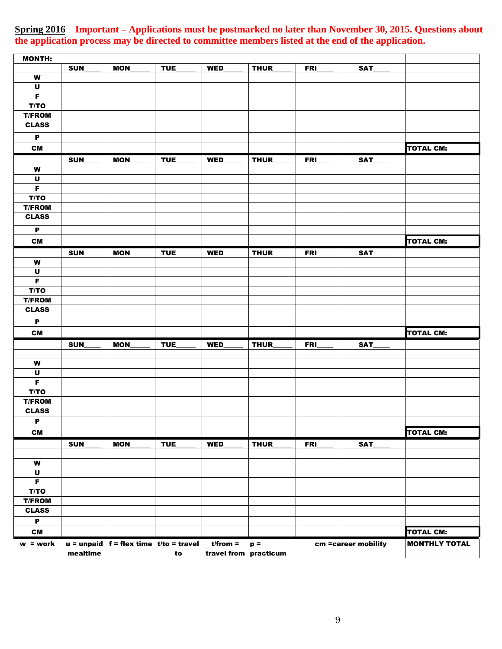| <b>MONTH:</b>      |            |                                          |                  |                       |             |            |                     |                      |
|--------------------|------------|------------------------------------------|------------------|-----------------------|-------------|------------|---------------------|----------------------|
|                    | <b>SUN</b> | <b>MON</b>                               | TUE              | WED <sub>.</sub>      | THUR        | <b>FRI</b> | SAT                 |                      |
| W                  |            |                                          |                  |                       |             |            |                     |                      |
| $\mathbf U$        |            |                                          |                  |                       |             |            |                     |                      |
| $\mathbf F$        |            |                                          |                  |                       |             |            |                     |                      |
| T/TO               |            |                                          |                  |                       |             |            |                     |                      |
| <b>T/FROM</b>      |            |                                          |                  |                       |             |            |                     |                      |
| <b>CLASS</b>       |            |                                          |                  |                       |             |            |                     |                      |
| $\mathbf P$        |            |                                          |                  |                       |             |            |                     |                      |
| <b>CM</b>          |            |                                          |                  |                       |             |            |                     | <b>TOTAL CM:</b>     |
|                    | <b>SUN</b> | <b>MON</b>                               | TUE              | WED <sub>.</sub>      | THUR        | <b>FRI</b> | SAT                 |                      |
| W                  |            |                                          |                  |                       |             |            |                     |                      |
| $\pmb{\pmb{\cup}}$ |            |                                          |                  |                       |             |            |                     |                      |
| $\mathbf F$        |            |                                          |                  |                       |             |            |                     |                      |
| T/TO               |            |                                          |                  |                       |             |            |                     |                      |
| <b>T/FROM</b>      |            |                                          |                  |                       |             |            |                     |                      |
| <b>CLASS</b>       |            |                                          |                  |                       |             |            |                     |                      |
| $\mathbf P$        |            |                                          |                  |                       |             |            |                     |                      |
|                    |            |                                          |                  |                       |             |            |                     | <b>TOTAL CM:</b>     |
| <b>CM</b>          |            |                                          |                  |                       |             |            |                     |                      |
|                    | SUN        | <b>MON</b>                               | TUE <sub>.</sub> | WED <sub>.</sub>      | THUR        | <b>FRI</b> | SAT                 |                      |
| W                  |            |                                          |                  |                       |             |            |                     |                      |
| $\mathbf U$        |            |                                          |                  |                       |             |            |                     |                      |
| $\mathsf F$        |            |                                          |                  |                       |             |            |                     |                      |
| T/TO               |            |                                          |                  |                       |             |            |                     |                      |
| <b>T/FROM</b>      |            |                                          |                  |                       |             |            |                     |                      |
| <b>CLASS</b>       |            |                                          |                  |                       |             |            |                     |                      |
| $\mathbf P$        |            |                                          |                  |                       |             |            |                     |                      |
| <b>CM</b>          |            |                                          |                  |                       |             |            |                     | <b>TOTAL CM:</b>     |
|                    | <b>SUN</b> | <b>MON</b>                               | TUE              | WED <sub>.</sub>      | <b>THUR</b> | <b>FRI</b> | SAT                 |                      |
|                    |            |                                          |                  |                       |             |            |                     |                      |
| W                  |            |                                          |                  |                       |             |            |                     |                      |
| $\mathbf U$        |            |                                          |                  |                       |             |            |                     |                      |
| F                  |            |                                          |                  |                       |             |            |                     |                      |
| T/TO               |            |                                          |                  |                       |             |            |                     |                      |
| <b>T/FROM</b>      |            |                                          |                  |                       |             |            |                     |                      |
| <b>CLASS</b>       |            |                                          |                  |                       |             |            |                     |                      |
| $\mathbf P$        |            |                                          |                  |                       |             |            |                     |                      |
| <b>CM</b>          |            |                                          |                  |                       |             |            |                     | <b>TOTAL CM:</b>     |
|                    | SUN        | MON                                      | TUE_             | WED_                  | THUR_       | FRI        | SAT                 |                      |
|                    |            |                                          |                  |                       |             |            |                     |                      |
| $\pmb{\mathsf{W}}$ |            |                                          |                  |                       |             |            |                     |                      |
| $\mathbf U$        |            |                                          |                  |                       |             |            |                     |                      |
| $\overline{F}$     |            |                                          |                  |                       |             |            |                     |                      |
| T/TO               |            |                                          |                  |                       |             |            |                     |                      |
| <b>T/FROM</b>      |            |                                          |                  |                       |             |            |                     |                      |
| <b>CLASS</b>       |            |                                          |                  |                       |             |            |                     |                      |
| $\mathbf P$        |            |                                          |                  |                       |             |            |                     |                      |
| <b>CM</b>          |            |                                          |                  |                       |             |            |                     | <b>TOTAL CM:</b>     |
| $w = work$         |            | $u =$ unpaid f = flex time t/to = travel |                  | $t$ /from =           | $p =$       |            | cm =career mobility | <b>MONTHLY TOTAL</b> |
|                    | mealtime   |                                          | to               | travel from practicum |             |            |                     |                      |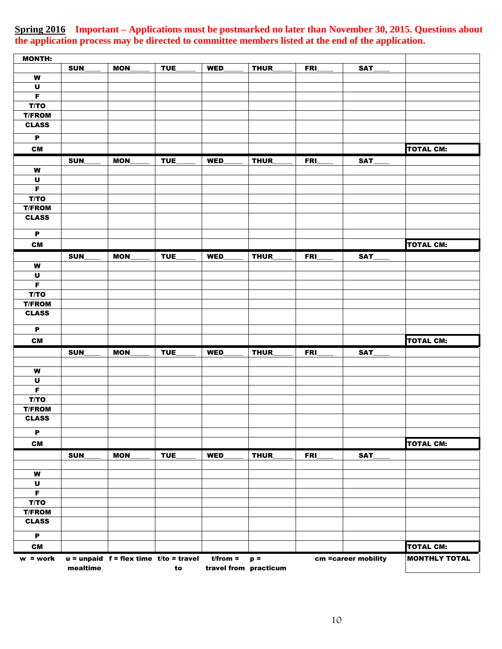| <b>MONTH:</b>         |            |                                              |                  |                       |             |            |                     |                      |
|-----------------------|------------|----------------------------------------------|------------------|-----------------------|-------------|------------|---------------------|----------------------|
|                       | <b>SUN</b> | <b>MON</b>                                   | TUE              | WED <sub>.</sub>      | <b>THUR</b> | <b>FRI</b> | SAT                 |                      |
| W                     |            |                                              |                  |                       |             |            |                     |                      |
| $\pmb{\pmb{\cup}}$    |            |                                              |                  |                       |             |            |                     |                      |
| F                     |            |                                              |                  |                       |             |            |                     |                      |
| T/TO                  |            |                                              |                  |                       |             |            |                     |                      |
| <b>T/FROM</b>         |            |                                              |                  |                       |             |            |                     |                      |
| <b>CLASS</b>          |            |                                              |                  |                       |             |            |                     |                      |
| $\mathbf P$           |            |                                              |                  |                       |             |            |                     |                      |
| <b>CM</b>             |            |                                              |                  |                       |             |            |                     | <b>TOTAL CM:</b>     |
|                       | <b>SUN</b> | <b>MON</b>                                   | <b>TUE</b>       | WED <sub>.</sub>      | THUR        | <b>FRI</b> | SAT                 |                      |
| $\pmb{\mathsf{W}}$    |            |                                              |                  |                       |             |            |                     |                      |
| $\pmb{\pmb{\cup}}$    |            |                                              |                  |                       |             |            |                     |                      |
| F                     |            |                                              |                  |                       |             |            |                     |                      |
| T/TO                  |            |                                              |                  |                       |             |            |                     |                      |
| <b>T/FROM</b>         |            |                                              |                  |                       |             |            |                     |                      |
| <b>CLASS</b>          |            |                                              |                  |                       |             |            |                     |                      |
|                       |            |                                              |                  |                       |             |            |                     |                      |
| P                     |            |                                              |                  |                       |             |            |                     |                      |
| <b>CM</b>             |            |                                              |                  |                       |             |            |                     | <b>TOTAL CM:</b>     |
|                       | <b>SUN</b> | <b>MON</b>                                   | TUE <sub>.</sub> | WED <sub>.</sub>      | THUR        | FRI        | SAT                 |                      |
| W                     |            |                                              |                  |                       |             |            |                     |                      |
| $\mathbf U$           |            |                                              |                  |                       |             |            |                     |                      |
| $\overline{F}$        |            |                                              |                  |                       |             |            |                     |                      |
| T/TO                  |            |                                              |                  |                       |             |            |                     |                      |
| <b>T/FROM</b>         |            |                                              |                  |                       |             |            |                     |                      |
| <b>CLASS</b>          |            |                                              |                  |                       |             |            |                     |                      |
|                       |            |                                              |                  |                       |             |            |                     |                      |
| $\mathbf P$           |            |                                              |                  |                       |             |            |                     |                      |
| <b>CM</b>             |            |                                              |                  |                       |             |            |                     | <b>TOTAL CM:</b>     |
|                       | <b>SUN</b> | <b>MON</b>                                   | TUE <sub>.</sub> | WED <sub>.</sub>      | THUR        | FRI        | SAT                 |                      |
|                       |            |                                              |                  |                       |             |            |                     |                      |
| $\pmb{\mathsf{W}}$    |            |                                              |                  |                       |             |            |                     |                      |
| $\pmb{\pmb{\cup}}$    |            |                                              |                  |                       |             |            |                     |                      |
| F                     |            |                                              |                  |                       |             |            |                     |                      |
| T/TO<br><b>T/FROM</b> |            |                                              |                  |                       |             |            |                     |                      |
| <b>CLASS</b>          |            |                                              |                  |                       |             |            |                     |                      |
|                       |            |                                              |                  |                       |             |            |                     |                      |
| P                     |            |                                              |                  |                       |             |            |                     |                      |
| <b>CM</b>             |            |                                              |                  |                       |             |            |                     | <b>TOTAL CM:</b>     |
|                       | SUN        | MON                                          | TUE_             | WED <sub>_</sub>      | THUR_       | FRI        | SAT_                |                      |
|                       |            |                                              |                  |                       |             |            |                     |                      |
| $\pmb{\mathsf{W}}$    |            |                                              |                  |                       |             |            |                     |                      |
| $\mathbf U$           |            |                                              |                  |                       |             |            |                     |                      |
| F                     |            |                                              |                  |                       |             |            |                     |                      |
| T/TO                  |            |                                              |                  |                       |             |            |                     |                      |
| <b>T/FROM</b>         |            |                                              |                  |                       |             |            |                     |                      |
| <b>CLASS</b>          |            |                                              |                  |                       |             |            |                     |                      |
| $\mathbf P$           |            |                                              |                  |                       |             |            |                     |                      |
| <b>CM</b>             |            |                                              |                  |                       |             |            |                     | <b>TOTAL CM:</b>     |
| $w = work$            |            | $u =$ unpaid $f =$ flex time $t/to =$ travel |                  | $t$ /from =           | $p =$       |            | cm =career mobility | <b>MONTHLY TOTAL</b> |
|                       | mealtime   |                                              | to               | travel from practicum |             |            |                     |                      |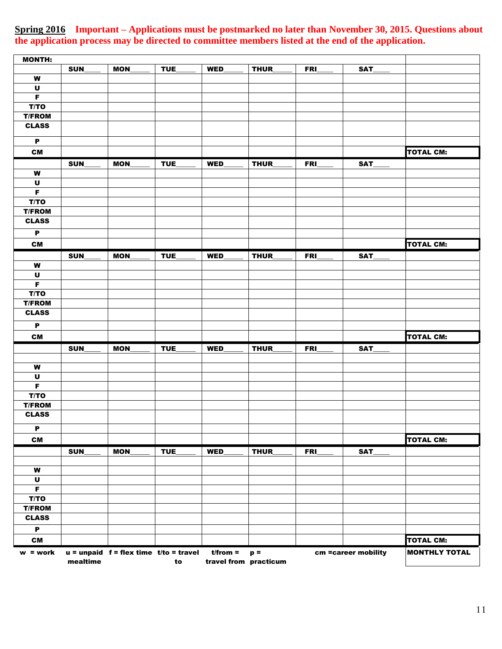| <b>MONTH:</b>              |            |                                          |     |                       |             |            |                     |                      |
|----------------------------|------------|------------------------------------------|-----|-----------------------|-------------|------------|---------------------|----------------------|
|                            | SUN        | <b>MON</b>                               | TUE | WED <sub>.</sub>      | THUR_       | FRI        | SAT                 |                      |
| W                          |            |                                          |     |                       |             |            |                     |                      |
| $\mathbf U$                |            |                                          |     |                       |             |            |                     |                      |
| $\overline{F}$             |            |                                          |     |                       |             |            |                     |                      |
| T/TO                       |            |                                          |     |                       |             |            |                     |                      |
| <b>T/FROM</b>              |            |                                          |     |                       |             |            |                     |                      |
| <b>CLASS</b>               |            |                                          |     |                       |             |            |                     |                      |
| $\mathbf P$                |            |                                          |     |                       |             |            |                     |                      |
|                            |            |                                          |     |                       |             |            |                     |                      |
| <b>CM</b>                  |            |                                          |     |                       |             |            |                     | <b>TOTAL CM:</b>     |
|                            | <b>SUN</b> | <b>MON</b>                               | TUE | <b>WED</b>            | <b>THUR</b> | <b>FRI</b> | SAT                 |                      |
| W                          |            |                                          |     |                       |             |            |                     |                      |
| $\mathbf U$                |            |                                          |     |                       |             |            |                     |                      |
| F                          |            |                                          |     |                       |             |            |                     |                      |
| T/TO                       |            |                                          |     |                       |             |            |                     |                      |
| <b>T/FROM</b>              |            |                                          |     |                       |             |            |                     |                      |
| <b>CLASS</b>               |            |                                          |     |                       |             |            |                     |                      |
| $\mathbf P$                |            |                                          |     |                       |             |            |                     |                      |
| <b>CM</b>                  |            |                                          |     |                       |             |            |                     | <b>TOTAL CM:</b>     |
|                            | <b>SUN</b> | <b>MON</b>                               | TUE | WED <sub>.</sub>      | THUR        | <b>FRI</b> | SAT                 |                      |
| W                          |            |                                          |     |                       |             |            |                     |                      |
| $\pmb{\pmb{\cup}}$         |            |                                          |     |                       |             |            |                     |                      |
| $\overline{F}$             |            |                                          |     |                       |             |            |                     |                      |
| T/TO                       |            |                                          |     |                       |             |            |                     |                      |
| <b>T/FROM</b>              |            |                                          |     |                       |             |            |                     |                      |
| <b>CLASS</b>               |            |                                          |     |                       |             |            |                     |                      |
| $\mathbf P$                |            |                                          |     |                       |             |            |                     |                      |
| <b>CM</b>                  |            |                                          |     |                       |             |            |                     | <b>TOTAL CM:</b>     |
|                            | <b>SUN</b> | <b>MON</b>                               | TUE | <b>WED</b>            | <b>THUR</b> | <b>FRI</b> | SAT                 |                      |
|                            |            |                                          |     |                       |             |            |                     |                      |
| $\pmb{\mathsf{W}}$         |            |                                          |     |                       |             |            |                     |                      |
| $\pmb{\pmb{\cup}}$         |            |                                          |     |                       |             |            |                     |                      |
| F                          |            |                                          |     |                       |             |            |                     |                      |
| T/TO                       |            |                                          |     |                       |             |            |                     |                      |
| <b>T/FROM</b>              |            |                                          |     |                       |             |            |                     |                      |
| <b>CLASS</b>               |            |                                          |     |                       |             |            |                     |                      |
| $\mathbf P$                |            |                                          |     |                       |             |            |                     |                      |
| <b>CM</b>                  |            |                                          |     |                       |             |            |                     | <b>TOTAL CM:</b>     |
|                            |            |                                          |     |                       |             |            |                     |                      |
|                            | SUN        | MON                                      | TUE | WED <sub>.</sub>      | THUR        | FRI        | SAT                 |                      |
|                            |            |                                          |     |                       |             |            |                     |                      |
| W                          |            |                                          |     |                       |             |            |                     |                      |
| $\mathbf U$<br>$\mathbf F$ |            |                                          |     |                       |             |            |                     |                      |
| T/TO                       |            |                                          |     |                       |             |            |                     |                      |
| <b>T/FROM</b>              |            |                                          |     |                       |             |            |                     |                      |
| <b>CLASS</b>               |            |                                          |     |                       |             |            |                     |                      |
|                            |            |                                          |     |                       |             |            |                     |                      |
| $\mathbf P$                |            |                                          |     |                       |             |            |                     |                      |
| <b>CM</b>                  |            |                                          |     |                       |             |            |                     | <b>TOTAL CM:</b>     |
| $w = work$                 |            | $u =$ unpaid f = flex time t/to = travel |     | $t$ /from =           | $p =$       |            | cm =career mobility | <b>MONTHLY TOTAL</b> |
|                            | mealtime   |                                          | to  | travel from practicum |             |            |                     |                      |

 $\overline{\phantom{a}}$